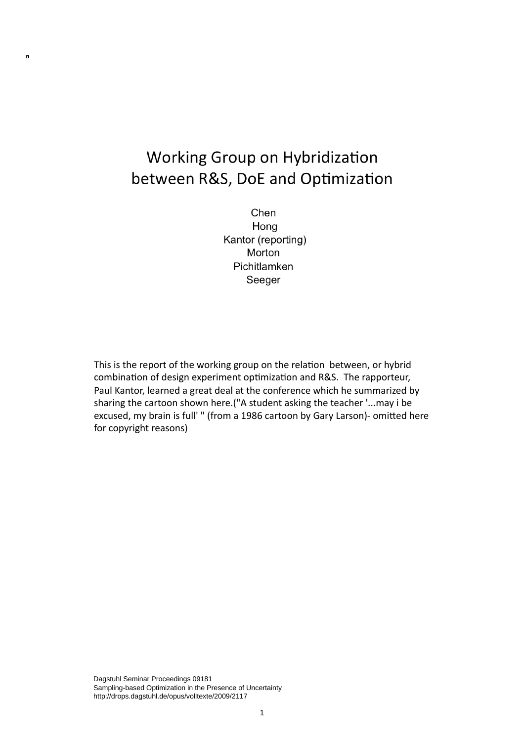### **Working Group on Hybridization** between R&S, DoE and Optimization

 $\blacksquare$ 

Chen Hong Kantor (reporting) Morton Pichitlamken Seeger

This is the report of the working group on the relation between, or hybrid combination of design experiment optimization and R&S. The rapporteur, Paul Kantor, learned a great deal at the conference which he summarized by sharing
the
cartoon
shown
here.("A
student
asking
the
teacher
'...may
i
be excused, my brain is full' " (from a 1986 cartoon by Gary Larson)- omitted here for
copyright
reasons)

Dagstuhl Seminar Proceedings 09181 Sampling-based Optimization in the Presence of Uncertainty http://drops.dagstuhl.de/opus/volltexte/2009/2117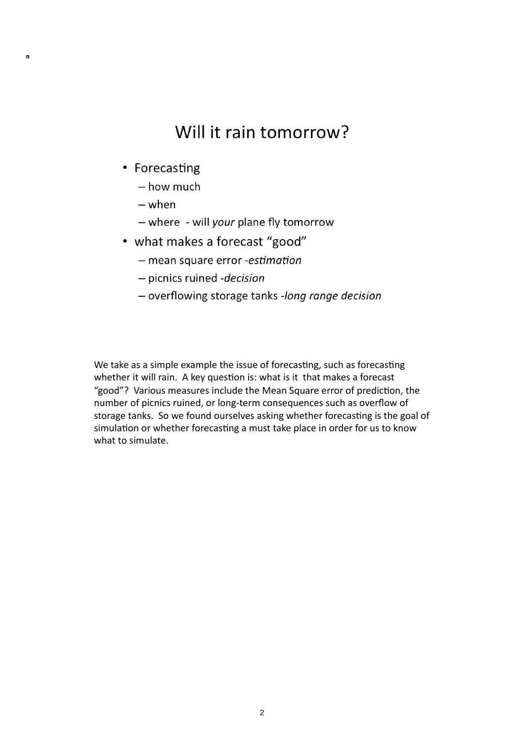#### Will it rain tomorrow?

• Forecasting

 $\blacksquare$ 

- how much
- $-$  when
- where will your plane fly tomorrow
- what makes a forecast "good"
	- mean square error -estimation
	- picnics ruined decision
	- overflowing storage tanks -long range decision

We take as a simple example the issue of forecasting, such as forecasting whether it will rain. A key question is: what is it that makes a forecast "good"? Various measures include the Mean Square error of prediction, the number of picnics ruined, or long-term consequences such as overflow of storage tanks. So we found ourselves asking whether forecasting is the goal of simulation or whether forecasting a must take place in order for us to know what to simulate.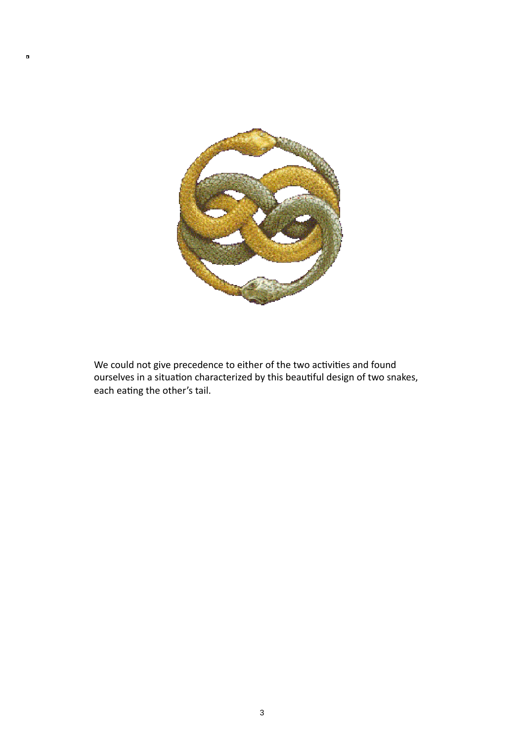

 $\blacksquare$ 

We could not give precedence to either of the two activities and found ourselves in a situation characterized by this beautiful design of two snakes, each eating the other's tail.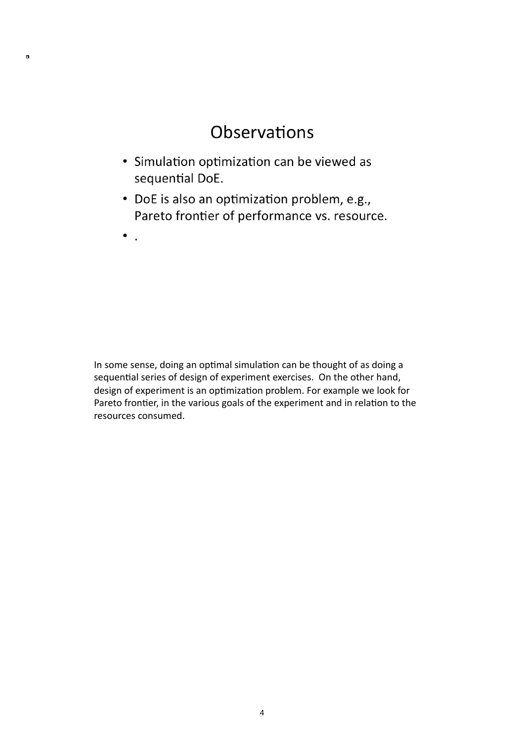### Observations

- · Simulation optimization can be viewed as sequential DoE.
- DoE is also an optimization problem, e.g., Pareto frontier of performance vs. resource.
- $\bullet$ .

 $\blacksquare$ 

In some sense, doing an optimal simulation can be thought of as doing a sequential series of design of experiment exercises. On the other hand, design of experiment is an optimization problem. For example we look for Pareto frontier, in the various goals of the experiment and in relation to the resources
consumed.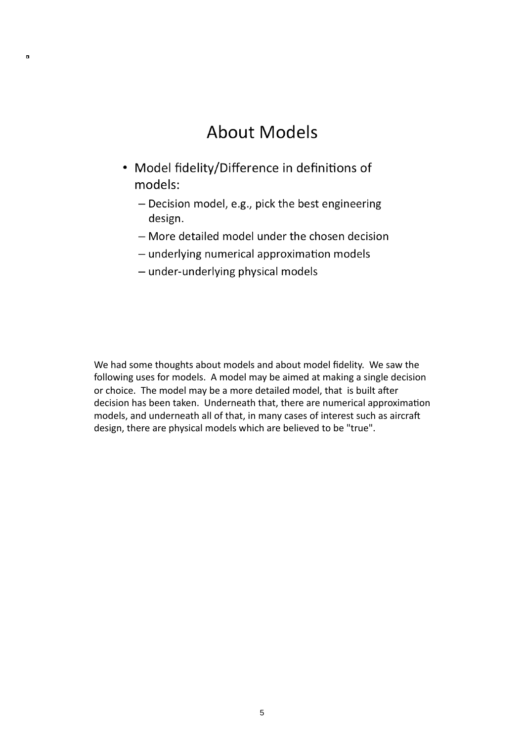#### **About Models**

- Model fidelity/Difference in definitions of models:
	- Decision model, e.g., pick the best engineering design.
	- More detailed model under the chosen decision
	- underlying numerical approximation models
	- under-underlying physical models

 $\blacksquare$ 

We had some thoughts about models and about model fidelity. We saw the following uses for models. A model may be aimed at making a single decision or choice. The model may be a more detailed model, that is built after decision has been taken. Underneath that, there are numerical approximation models, and underneath all of that, in many cases of interest such as aircraft design, there are physical models which are believed to be "true".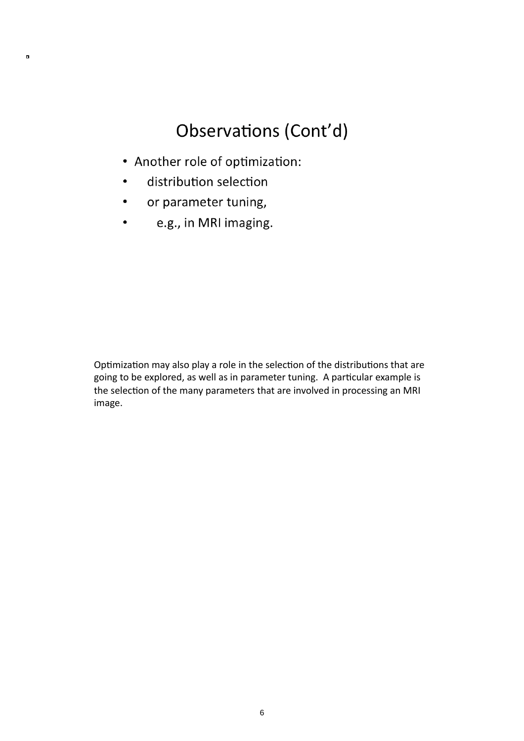## Observations (Cont'd)

- Another role of optimization:
- distribution selection

 $\blacksquare$ 

- or parameter tuning,  $\bullet$
- e.g., in MRI imaging.

Optimization may also play a role in the selection of the distributions that are going to be explored, as well as in parameter tuning. A particular example is the selection of the many parameters that are involved in processing an MRI image.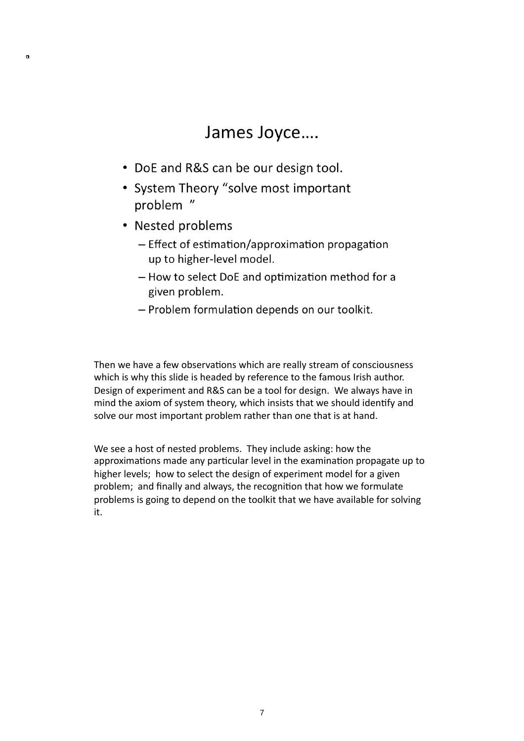#### James Joyce....

- DoE and R&S can be our design tool.
- System Theory "solve most important problem "
- Nested problems

 $\blacksquare$ 

- Effect of estimation/approximation propagation up to higher-level model.
- How to select DoE and optimization method for a given problem.
- Problem formulation depends on our toolkit.

Then we have a few observations which are really stream of consciousness which is why this slide is headed by reference to the famous Irish author. Design
of
experiment
and
R&S
can
be
a
tool
for
design.

We
always
have
in mind the axiom of system theory, which insists that we should identify and solve our most important problem rather than one that is at hand.

We see a host of nested problems. They include asking: how the approximations made any particular level in the examination propagate up to higher levels; how to select the design of experiment model for a given problem; and finally and always, the recognition that how we formulate problems is going to depend on the toolkit that we have available for solving it.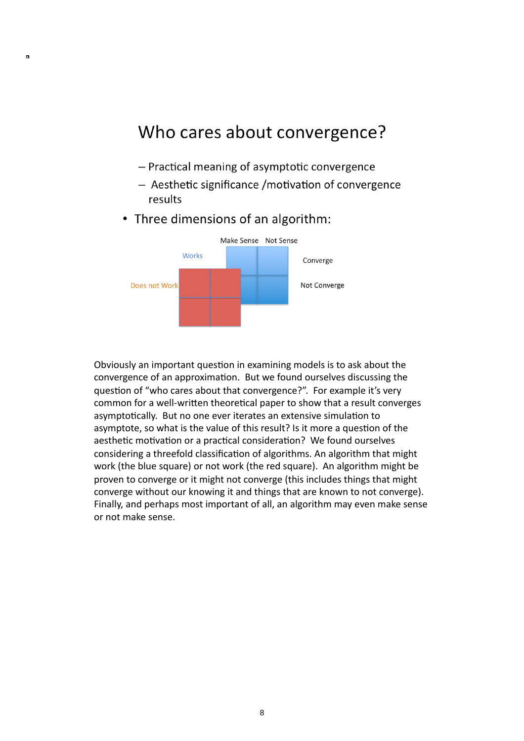#### Who cares about convergence?

- Practical meaning of asymptotic convergence
- Aesthetic significance / motivation of convergence results
- Three dimensions of an algorithm:

 $\blacksquare$ 



Obviously an important question in examining models is to ask about the convergence of an approximation. But we found ourselves discussing the question of "who cares about that convergence?". For example it's very common for a well-written theoretical paper to show that a result converges asymptotically. But no one ever iterates an extensive simulation to asymptote, so what is the value of this result? Is it more a question of the aesthetic motivation or a practical consideration? We found ourselves considering a threefold classification of algorithms. An algorithm that might work (the blue square) or not work (the red square). An algorithm might be proven to converge or it might not converge (this includes things that might converge without our knowing it and things that are known to not converge). Finally, and perhaps most important of all, an algorithm may even make sense or
not
make
sense.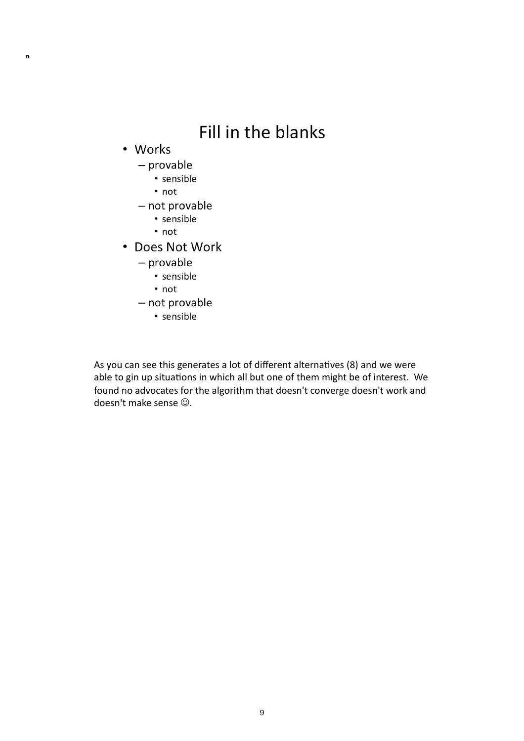# Fill in the blanks

• Works

 $\blacksquare$ 

- $-$  provable
	- · sensible
	- $\cdot$  not
- not provable
	- · sensible
	- $\cdot$  not
- Does Not Work
	- $-$  provable
		- · sensible
		- $\cdot$  not
	- not provable
		- · sensible

As you can see this generates a lot of different alternatives (8) and we were able to gin up situations in which all but one of them might be of interest. We found no advocates for the algorithm that doesn't converge doesn't work and doesn't make sense  $\odot$ .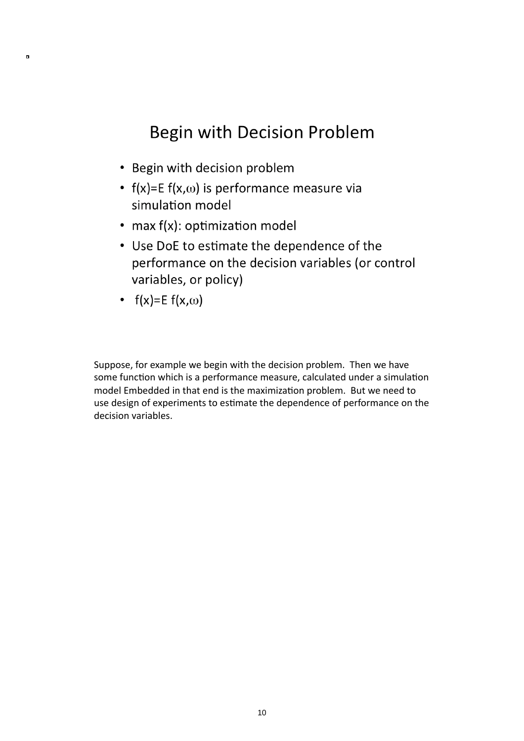## Begin with Decision Problem

- Begin with decision problem
- $f(x)=E f(x,\omega)$  is performance measure via simulation model
- max f(x): optimization model
- Use DoE to estimate the dependence of the performance on the decision variables (or control variables, or policy)
- $f(x)=E f(x,\omega)$

 $\blacksquare$ 

Suppose,
for
example
we
begin
with
the
decision
problem.

Then
we
have some function which is a performance measure, calculated under a simulation model Embedded in that end is the maximization problem. But we need to use design of experiments to estimate the dependence of performance on the decision
variables.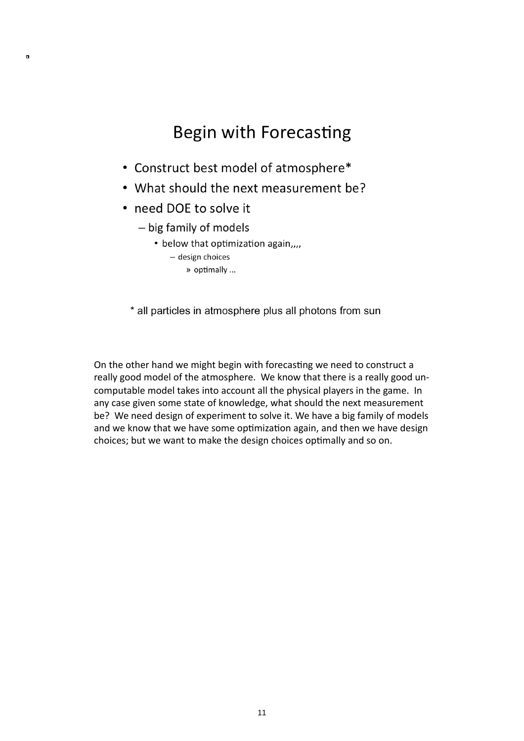## **Begin with Forecasting**

- Construct best model of atmosphere\*
- What should the next measurement be?
- need DOE to solve it

 $\blacksquare$ 

- big family of models
	- below that optimization again,,,,
		- design choices
			- » optimally ...

\* all particles in atmosphere plus all photons from sun

On the other hand we might begin with forecasting we need to construct a really good model of the atmosphere. We know that there is a really good uncomputable model takes into account all the physical players in the game. In any case given some state of knowledge, what should the next measurement be? We need design of experiment to solve it. We have a big family of models and we know that we have some optimization again, and then we have design choices; but we want to make the design choices optimally and so on.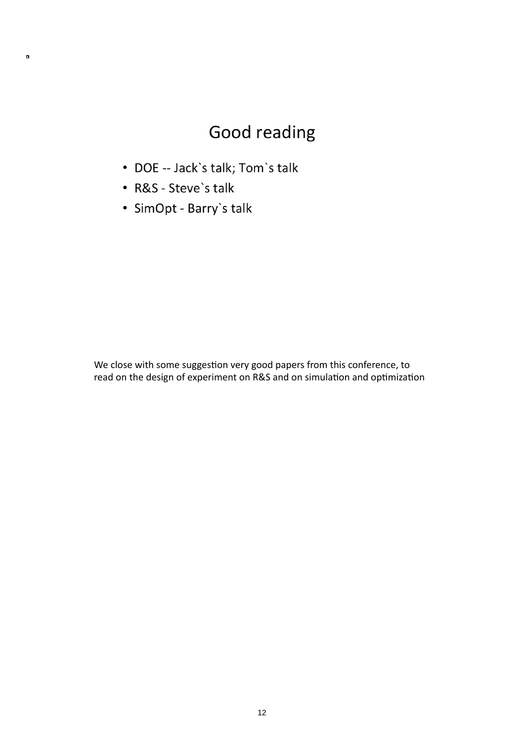# Good reading

- DOE -- Jack's talk; Tom's talk
- R&S Steve's talk

 $\blacksquare$ 

· SimOpt - Barry's talk

We close with some suggestion very good papers from this conference, to read on the design of experiment on R&S and on simulation and optimization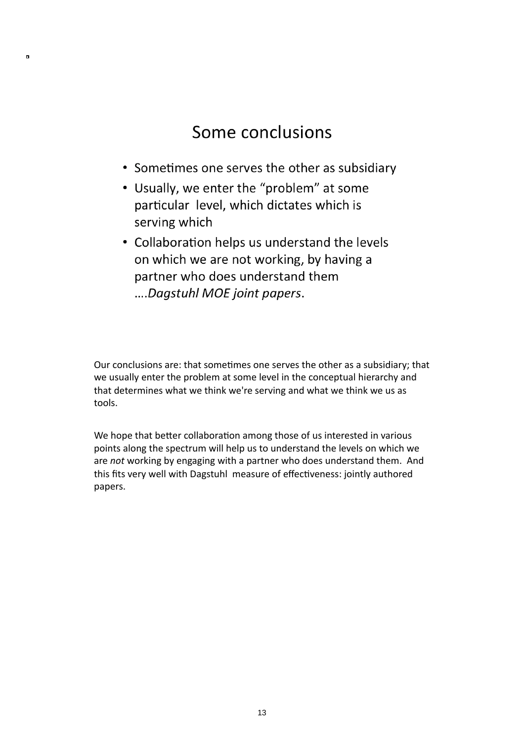#### Some conclusions

- Sometimes one serves the other as subsidiary
- Usually, we enter the "problem" at some particular level, which dictates which is serving which

 $\blacksquare$ 

• Collaboration helps us understand the levels on which we are not working, by having a partner who does understand them ....Dagstuhl MOE joint papers.

Our conclusions are: that sometimes one serves the other as a subsidiary; that we usually enter the problem at some level in the conceptual hierarchy and that determines what we think we're serving and what we think we us as tools.

We hope that better collaboration among those of us interested in various points
along
the
spectrum
will
help
us
to
understand
the
levels
on
which
we are not working by engaging with a partner who does understand them. And this fits very well with Dagstuhl measure of effectiveness: jointly authored papers.